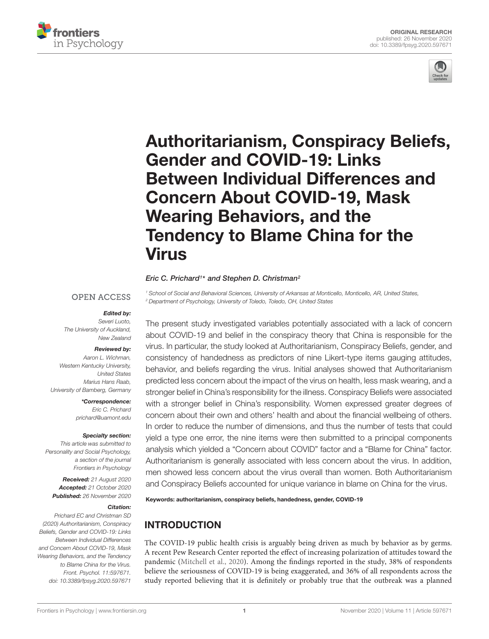



# [Authoritarianism, Conspiracy Beliefs,](https://www.frontiersin.org/articles/10.3389/fpsyg.2020.597671/full) Gender and COVID-19: Links Between Individual Differences and Concern About COVID-19, Mask Wearing Behaviors, and the Tendency to Blame China for the Virus

#### Eric C. Prichard<sup>1\*</sup> and Stephen D. Christman<sup>2</sup>

#### **OPEN ACCESS**

#### Edited by:

Severi Luoto, The University of Auckland, New Zealand

#### Reviewed by:

Aaron L. Wichman, Western Kentucky University, United States Marius Hans Raab, University of Bamberg, Germany

> \*Correspondence: Eric C. Prichard prichard@uamont.edu

#### Specialty section:

This article was submitted to Personality and Social Psychology, a section of the journal Frontiers in Psychology

Received: 21 August 2020 Accepted: 21 October 2020 Published: 26 November 2020

#### Citation:

Prichard EC and Christman SD (2020) Authoritarianism, Conspiracy Beliefs, Gender and COVID-19: Links Between Individual Differences and Concern About COVID-19, Mask Wearing Behaviors, and the Tendency to Blame China for the Virus. Front. Psychol. 11:597671. doi: [10.3389/fpsyg.2020.597671](https://doi.org/10.3389/fpsyg.2020.597671)

<sup>1</sup> School of Social and Behavioral Sciences, University of Arkansas at Monticello, Monticello, AR, United States, <sup>2</sup> Department of Psychology, University of Toledo, Toledo, OH, United States

The present study investigated variables potentially associated with a lack of concern about COVID-19 and belief in the conspiracy theory that China is responsible for the virus. In particular, the study looked at Authoritarianism, Conspiracy Beliefs, gender, and consistency of handedness as predictors of nine Likert-type items gauging attitudes, behavior, and beliefs regarding the virus. Initial analyses showed that Authoritarianism predicted less concern about the impact of the virus on health, less mask wearing, and a stronger belief in China's responsibility for the illness. Conspiracy Beliefs were associated with a stronger belief in China's responsibility. Women expressed greater degrees of concern about their own and others' health and about the financial wellbeing of others. In order to reduce the number of dimensions, and thus the number of tests that could yield a type one error, the nine items were then submitted to a principal components analysis which yielded a "Concern about COVID" factor and a "Blame for China" factor. Authoritarianism is generally associated with less concern about the virus. In addition, men showed less concern about the virus overall than women. Both Authoritarianism and Conspiracy Beliefs accounted for unique variance in blame on China for the virus.

Keywords: authoritarianism, conspiracy beliefs, handedness, gender, COVID-19

# INTRODUCTION

The COVID-19 public health crisis is arguably being driven as much by behavior as by germs. A recent Pew Research Center reported the effect of increasing polarization of attitudes toward the pandemic [\(Mitchell et al.,](#page-6-0) [2020\)](#page-6-0). Among the findings reported in the study, 38% of respondents believe the seriousness of COVID-19 is being exaggerated, and 36% of all respondents across the study reported believing that it is definitely or probably true that the outbreak was a planned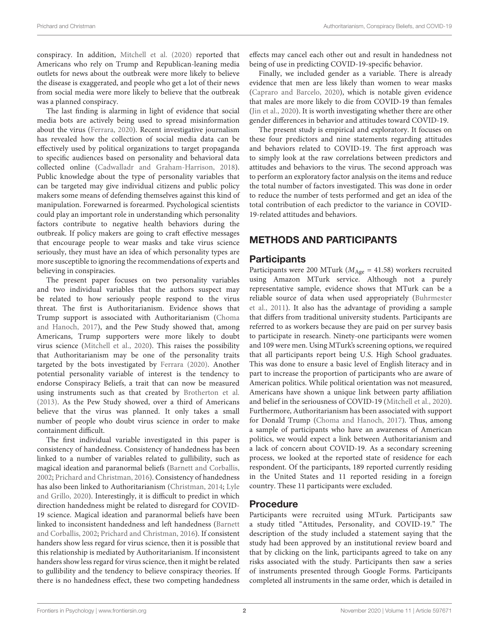conspiracy. In addition, [Mitchell et al.](#page-6-0) [\(2020\)](#page-6-0) reported that Americans who rely on Trump and Republican-leaning media outlets for news about the outbreak were more likely to believe the disease is exaggerated, and people who get a lot of their news from social media were more likely to believe that the outbreak was a planned conspiracy.

The last finding is alarming in light of evidence that social media bots are actively being used to spread misinformation about the virus [\(Ferrara,](#page-6-1) [2020\)](#page-6-1). Recent investigative journalism has revealed how the collection of social media data can be effectively used by political organizations to target propaganda to specific audiences based on personality and behavioral data collected online [\(Cadwalladr and Graham-Harrison,](#page-6-2) [2018\)](#page-6-2). Public knowledge about the type of personality variables that can be targeted may give individual citizens and public policy makers some means of defending themselves against this kind of manipulation. Forewarned is forearmed. Psychological scientists could play an important role in understanding which personality factors contribute to negative health behaviors during the outbreak. If policy makers are going to craft effective messages that encourage people to wear masks and take virus science seriously, they must have an idea of which personality types are more susceptible to ignoring the recommendations of experts and believing in conspiracies.

The present paper focuses on two personality variables and two individual variables that the authors suspect may be related to how seriously people respond to the virus threat. The first is Authoritarianism. Evidence shows that Trump support is associated with Authoritarianism [\(Choma](#page-6-3) [and Hanoch,](#page-6-3) [2017\)](#page-6-3), and the Pew Study showed that, among Americans, Trump supporters were more likely to doubt virus science [\(Mitchell et al.,](#page-6-0) [2020\)](#page-6-0). This raises the possibility that Authoritarianism may be one of the personality traits targeted by the bots investigated by [Ferrara](#page-6-1) [\(2020\)](#page-6-1). Another potential personality variable of interest is the tendency to endorse Conspiracy Beliefs, a trait that can now be measured using instruments such as that created by [Brotherton et al.](#page-6-4) [\(2013\)](#page-6-4). As the Pew Study showed, over a third of Americans believe that the virus was planned. It only takes a small number of people who doubt virus science in order to make containment difficult.

The first individual variable investigated in this paper is consistency of handedness. Consistency of handedness has been linked to a number of variables related to gullibility, such as magical ideation and paranormal beliefs [\(Barnett and Corballis,](#page-6-5) [2002;](#page-6-5) [Prichard and Christman,](#page-6-6) [2016\)](#page-6-6). Consistency of handedness has also been linked to Authoritarianism [\(Christman,](#page-6-7) [2014;](#page-6-7) [Lyle](#page-6-8) [and Grillo,](#page-6-8) [2020\)](#page-6-8). Interestingly, it is difficult to predict in which direction handedness might be related to disregard for COVID-19 science. Magical ideation and paranormal beliefs have been linked to inconsistent handedness and left handedness [\(Barnett](#page-6-5) [and Corballis,](#page-6-5) [2002;](#page-6-5) [Prichard and Christman,](#page-6-6) [2016\)](#page-6-6). If consistent handers show less regard for virus science, then it is possible that this relationship is mediated by Authoritarianism. If inconsistent handers show less regard for virus science, then it might be related to gullibility and the tendency to believe conspiracy theories. If there is no handedness effect, these two competing handedness

effects may cancel each other out and result in handedness not being of use in predicting COVID-19-specific behavior.

Finally, we included gender as a variable. There is already evidence that men are less likely than women to wear masks [\(Capraro and Barcelo,](#page-6-9) [2020\)](#page-6-9), which is notable given evidence that males are more likely to die from COVID-19 than females [\(Jin et al.,](#page-6-10) [2020\)](#page-6-10). It is worth investigating whether there are other gender differences in behavior and attitudes toward COVID-19.

The present study is empirical and exploratory. It focuses on these four predictors and nine statements regarding attitudes and behaviors related to COVID-19. The first approach was to simply look at the raw correlations between predictors and attitudes and behaviors to the virus. The second approach was to perform an exploratory factor analysis on the items and reduce the total number of factors investigated. This was done in order to reduce the number of tests performed and get an idea of the total contribution of each predictor to the variance in COVID-19-related attitudes and behaviors.

## METHODS AND PARTICIPANTS

## **Participants**

Participants were 200 MTurk ( $M_{\text{Age}} = 41.58$ ) workers recruited using Amazon MTurk service. Although not a purely representative sample, evidence shows that MTurk can be a reliable source of data when used appropriately [\(Buhrmester](#page-6-11) [et al.,](#page-6-11) [2011\)](#page-6-11). It also has the advantage of providing a sample that differs from traditional university students. Participants are referred to as workers because they are paid on per survey basis to participate in research. Ninety-one participants were women and 109 were men. Using MTurk's screening options, we required that all participants report being U.S. High School graduates. This was done to ensure a basic level of English literacy and in part to increase the proportion of participants who are aware of American politics. While political orientation was not measured, Americans have shown a unique link between party affiliation and belief in the seriousness of COVID-19 [\(Mitchell et al.,](#page-6-0) [2020\)](#page-6-0). Furthermore, Authoritarianism has been associated with support for Donald Trump [\(Choma and Hanoch,](#page-6-3) [2017\)](#page-6-3). Thus, among a sample of participants who have an awareness of American politics, we would expect a link between Authoritarianism and a lack of concern about COVID-19. As a secondary screening process, we looked at the reported state of residence for each respondent. Of the participants, 189 reported currently residing in the United States and 11 reported residing in a foreign country. These 11 participants were excluded.

## Procedure

Participants were recruited using MTurk. Participants saw a study titled "Attitudes, Personality, and COVID-19." The description of the study included a statement saying that the study had been approved by an institutional review board and that by clicking on the link, participants agreed to take on any risks associated with the study. Participants then saw a series of instruments presented through Google Forms. Participants completed all instruments in the same order, which is detailed in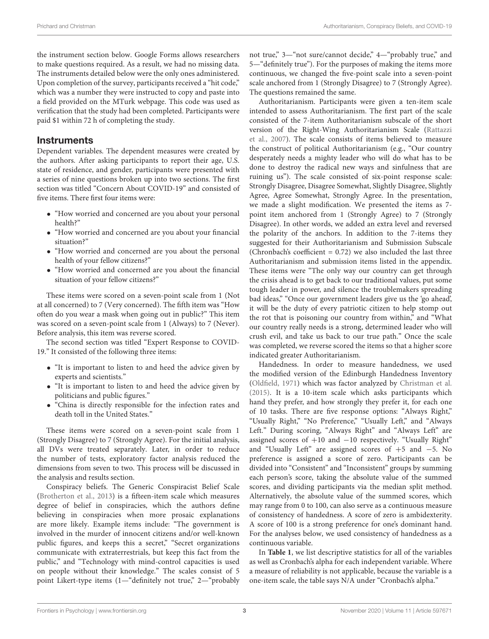the instrument section below. Google Forms allows researchers to make questions required. As a result, we had no missing data. The instruments detailed below were the only ones administered. Upon completion of the survey, participants received a "hit code," which was a number they were instructed to copy and paste into a field provided on the MTurk webpage. This code was used as verification that the study had been completed. Participants were paid \$1 within 72 h of completing the study.

#### **Instruments**

Dependent variables. The dependent measures were created by the authors. After asking participants to report their age, U.S. state of residence, and gender, participants were presented with a series of nine questions broken up into two sections. The first section was titled "Concern About COVID-19" and consisted of five items. There first four items were:

- "How worried and concerned are you about your personal health?"
- "How worried and concerned are you about your financial situation?"
- "How worried and concerned are you about the personal health of your fellow citizens?"
- "How worried and concerned are you about the financial situation of your fellow citizens?"

These items were scored on a seven-point scale from 1 (Not at all concerned) to 7 (Very concerned). The fifth item was "How often do you wear a mask when going out in public?" This item was scored on a seven-point scale from 1 (Always) to 7 (Never). Before analysis, this item was reverse scored.

The second section was titled "Expert Response to COVID-19." It consisted of the following three items:

- "It is important to listen to and heed the advice given by experts and scientists."
- "It is important to listen to and heed the advice given by politicians and public figures."
- "China is directly responsible for the infection rates and death toll in the United States."

These items were scored on a seven-point scale from 1 (Strongly Disagree) to 7 (Strongly Agree). For the initial analysis, all DVs were treated separately. Later, in order to reduce the number of tests, exploratory factor analysis reduced the dimensions from seven to two. This process will be discussed in the analysis and results section.

Conspiracy beliefs. The Generic Conspiracist Belief Scale [\(Brotherton et al.,](#page-6-4) [2013\)](#page-6-4) is a fifteen-item scale which measures degree of belief in conspiracies, which the authors define believing in conspiracies when more prosaic explanations are more likely. Example items include: "The government is involved in the murder of innocent citizens and/or well-known public figures, and keeps this a secret," "Secret organizations communicate with extraterrestrials, but keep this fact from the public," and "Technology with mind-control capacities is used on people without their knowledge." The scales consist of 5 point Likert-type items (1-"definitely not true," 2-"probably not true," 3—"not sure/cannot decide," 4—"probably true," and 5—"definitely true"). For the purposes of making the items more continuous, we changed the five-point scale into a seven-point scale anchored from 1 (Strongly Disagree) to 7 (Strongly Agree). The questions remained the same.

Authoritarianism. Participants were given a ten-item scale intended to assess Authoritarianism. The first part of the scale consisted of the 7-item Authoritarianism subscale of the short version of the Right-Wing Authoritarianism Scale [\(Rattazzi](#page-6-12) [et al.,](#page-6-12) [2007\)](#page-6-12). The scale consists of items believed to measure the construct of political Authoritarianism (e.g., "Our country desperately needs a mighty leader who will do what has to be done to destroy the radical new ways and sinfulness that are ruining us"). The scale consisted of six-point response scale: Strongly Disagree, Disagree Somewhat, Slightly Disagree, Slightly Agree, Agree Somewhat, Strongly Agree. In the presentation, we made a slight modification. We presented the items as 7 point item anchored from 1 (Strongly Agree) to 7 (Strongly Disagree). In other words, we added an extra level and reversed the polarity of the anchors. In addition to the 7-items they suggested for their Authoritarianism and Submission Subscale (Chronbach's coefficient  $= 0.72$ ) we also included the last three Authoritarianism and submission items listed in the appendix. These items were "The only way our country can get through the crisis ahead is to get back to our traditional values, put some tough leader in power, and silence the troublemakers spreading bad ideas," "Once our government leaders give us the 'go ahead', it will be the duty of every patriotic citizen to help stomp out the rot that is poisoning our country from within," and "What our country really needs is a strong, determined leader who will crush evil, and take us back to our true path." Once the scale was completed, we reverse scored the items so that a higher score indicated greater Authoritarianism.

Handedness. In order to measure handedness, we used the modified version of the Edinburgh Handedness Inventory [\(Oldfield,](#page-6-13) [1971\)](#page-6-13) which was factor analyzed by [Christman et al.](#page-6-14) [\(2015\)](#page-6-14). It is a 10-item scale which asks participants which hand they prefer, and how strongly they prefer it, for each one of 10 tasks. There are five response options: "Always Right," "Usually Right," "No Preference," "Usually Left," and "Always Left." During scoring, "Always Right" and "Always Left" are assigned scores of  $+10$  and  $-10$  respectively. "Usually Right" and "Usually Left" are assigned scores of +5 and −5. No preference is assigned a score of zero. Participants can be divided into "Consistent" and "Inconsistent" groups by summing each person's score, taking the absolute value of the summed scores, and dividing participants via the median split method. Alternatively, the absolute value of the summed scores, which may range from 0 to 100, can also serve as a continuous measure of consistency of handedness. A score of zero is ambidexterity. A score of 100 is a strong preference for one's dominant hand. For the analyses below, we used consistency of handedness as a continuous variable.

In **[Table 1](#page-3-0)**, we list descriptive statistics for all of the variables as well as Cronbach's alpha for each independent variable. Where a measure of reliability is not applicable, because the variable is a one-item scale, the table says N/A under "Cronbach's alpha."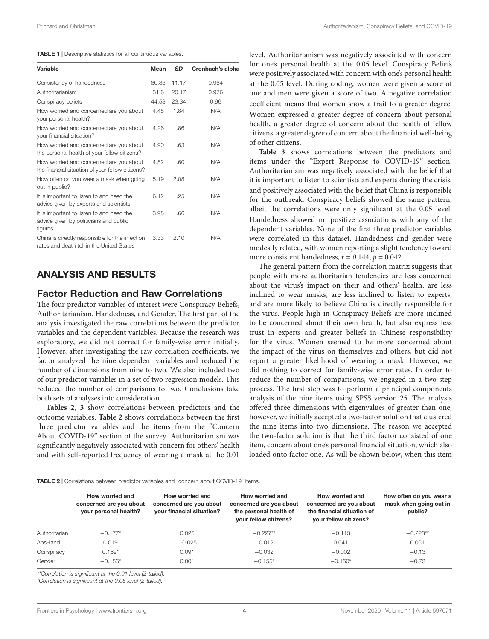<span id="page-3-0"></span>

| Variable                                                                                       | Mean  | <b>SD</b> | Cronbach's alpha |
|------------------------------------------------------------------------------------------------|-------|-----------|------------------|
| Consistency of handedness                                                                      | 80.83 | 11.17     | 0.964            |
| Authoritarianism                                                                               | 31.6  | 20.17     | 0.976            |
| Conspiracy beliefs                                                                             | 44.53 | 23.34     | 0.96             |
| How worried and concerned are you about<br>your personal health?                               | 4.45  | 1.84      | N/A              |
| How worried and concerned are you about<br>your financial situation?                           | 4.26  | 1.86      | N/A              |
| How worried and concerned are you about<br>the personal health of your fellow citizens?        | 4.90  | 1.63      | N/A              |
| How worried and concerned are you about<br>the financial situation of your fellow citizens?    | 4.82  | 1.60      | N/A              |
| How often do you wear a mask when going<br>out in public?                                      | 5.19  | 2.08      | N/A              |
| It is important to listen to and heed the<br>advice given by experts and scientists            | 6.12  | 1.25      | N/A              |
| It is important to listen to and heed the<br>advice given by politicians and public<br>figures | 3.98  | 1.66      | N/A              |
| China is directly responsible for the infection<br>rates and death toll in the United States   | 3.33  | 2.10      | N/A              |

## ANALYSIS AND RESULTS

## Factor Reduction and Raw Correlations

The four predictor variables of interest were Conspiracy Beliefs, Authoritarianism, Handedness, and Gender. The first part of the analysis investigated the raw correlations between the predictor variables and the dependent variables. Because the research was exploratory, we did not correct for family-wise error initially. However, after investigating the raw correlation coefficients, we factor analyzed the nine dependent variables and reduced the number of dimensions from nine to two. We also included two of our predictor variables in a set of two regression models. This reduced the number of comparisons to two. Conclusions take both sets of analyses into consideration.

**[Tables 2](#page-3-1)**, **[3](#page-4-0)** show correlations between predictors and the outcome variables. **[Table 2](#page-3-1)** shows correlations between the first three predictor variables and the items from the "Concern About COVID-19" section of the survey. Authoritarianism was significantly negatively associated with concern for others' health and with self-reported frequency of wearing a mask at the 0.01

level. Authoritarianism was negatively associated with concern for one's personal health at the 0.05 level. Conspiracy Beliefs were positively associated with concern with one's personal health at the 0.05 level. During coding, women were given a score of one and men were given a score of two. A negative correlation coefficient means that women show a trait to a greater degree. Women expressed a greater degree of concern about personal health, a greater degree of concern about the health of fellow citizens, a greater degree of concern about the financial well-being of other citizens.

**[Table 3](#page-4-0)** shows correlations between the predictors and items under the "Expert Response to COVID-19" section. Authoritarianism was negatively associated with the belief that it is important to listen to scientists and experts during the crisis, and positively associated with the belief that China is responsible for the outbreak. Conspiracy beliefs showed the same pattern, albeit the correlations were only significant at the 0.05 level. Handedness showed no positive associations with any of the dependent variables. None of the first three predictor variables were correlated in this dataset. Handedness and gender were modestly related, with women reporting a slight tendency toward more consistent handedness,  $r = 0.144$ ,  $p = 0.042$ .

The general pattern from the correlation matrix suggests that people with more authoritarian tendencies are less concerned about the virus's impact on their and others' health, are less inclined to wear masks, are less inclined to listen to experts, and are more likely to believe China is directly responsible for the virus. People high in Conspiracy Beliefs are more inclined to be concerned about their own health, but also express less trust in experts and greater beliefs in Chinese responsibility for the virus. Women seemed to be more concerned about the impact of the virus on themselves and others, but did not report a greater likelihood of wearing a mask. However, we did nothing to correct for family-wise error rates. In order to reduce the number of comparisons, we engaged in a two-step process. The first step was to perform a principal components analysis of the nine items using SPSS version 25. The analysis offered three dimensions with eigenvalues of greater than one, however, we initially accepted a two-factor solution that clustered the nine items into two dimensions. The reason we accepted the two-factor solution is that the third factor consisted of one item, concern about one's personal financial situation, which also loaded onto factor one. As will be shown below, when this item

<span id="page-3-1"></span>

|               | How worried and<br>concerned are you about<br>your personal health? | How worried and<br>concerned are you about<br>your financial situation? | How worried and<br>concerned are you about<br>the personal health of<br>your fellow citizens? | How worried and<br>concerned are you about<br>the financial situation of<br>your fellow citizens? | How often do you wear a<br>mask when going out in<br>public? |
|---------------|---------------------------------------------------------------------|-------------------------------------------------------------------------|-----------------------------------------------------------------------------------------------|---------------------------------------------------------------------------------------------------|--------------------------------------------------------------|
| Authoritarian | $-0.177*$                                                           | 0.025                                                                   | $-0.227**$                                                                                    | $-0.113$                                                                                          | $-0.228**$                                                   |
| AbsHand       | 0.019                                                               | $-0.025$                                                                | $-0.012$                                                                                      | 0.041                                                                                             | 0.061                                                        |
| Conspiracy    | $0.162*$                                                            | 0.091                                                                   | $-0.032$                                                                                      | $-0.002$                                                                                          | $-0.13$                                                      |
| Gender        | $-0.156*$                                                           | 0.001                                                                   | $-0.155*$                                                                                     | $-0.150*$                                                                                         | $-0.73$                                                      |

\*\*Correlation is significant at the 0.01 level (2-tailed).

\*Correlation is significant at the 0.05 level (2-tailed).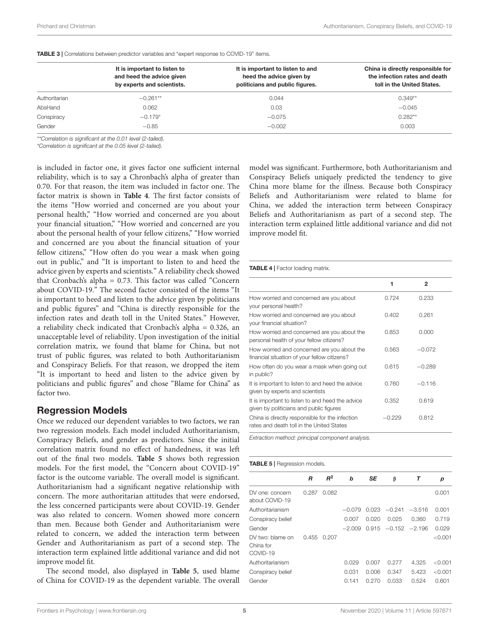<span id="page-4-0"></span>

|               | It is important to listen to<br>and heed the advice given<br>by experts and scientists. | It is important to listen to and<br>heed the advice given by<br>politicians and public figures. | China is directly responsible for<br>the infection rates and death<br>toll in the United States. |
|---------------|-----------------------------------------------------------------------------------------|-------------------------------------------------------------------------------------------------|--------------------------------------------------------------------------------------------------|
| Authoritarian | $-0.261**$                                                                              | 0.044                                                                                           | $0.349**$                                                                                        |
| AbsHand       | 0.062                                                                                   | 0.03                                                                                            | $-0.045$                                                                                         |
| Conspiracy    | $-0.179*$                                                                               | $-0.075$                                                                                        | $0.282**$                                                                                        |
| Gender        | $-0.85$                                                                                 | $-0.002$                                                                                        | 0.003                                                                                            |

\*\*Correlation is significant at the 0.01 level (2-tailed).

\*Correlation is significant at the 0.05 level (2-tailed).

is included in factor one, it gives factor one sufficient internal reliability, which is to say a Chronbach's alpha of greater than 0.70. For that reason, the item was included in factor one. The factor matrix is shown in **[Table 4](#page-4-1)**. The first factor consists of the items "How worried and concerned are you about your personal health," "How worried and concerned are you about your financial situation," "How worried and concerned are you about the personal health of your fellow citizens," "How worried and concerned are you about the financial situation of your fellow citizens," "How often do you wear a mask when going out in public," and "It is important to listen to and heed the advice given by experts and scientists." A reliability check showed that Cronbach's alpha = 0.73. This factor was called "Concern about COVID-19." The second factor consisted of the items "It is important to heed and listen to the advice given by politicians and public figures" and "China is directly responsible for the infection rates and death toll in the United States." However, a reliability check indicated that Cronbach's alpha = 0.326, an unacceptable level of reliability. Upon investigation of the initial correlation matrix, we found that blame for China, but not trust of public figures, was related to both Authoritarianism and Conspiracy Beliefs. For that reason, we dropped the item "It is important to heed and listen to the advice given by politicians and public figures" and chose "Blame for China" as factor two.

#### Regression Models

Once we reduced our dependent variables to two factors, we ran two regression models. Each model included Authoritarianism, Conspiracy Beliefs, and gender as predictors. Since the initial correlation matrix found no effect of handedness, it was left out of the final two models. **[Table 5](#page-4-2)** shows both regression models. For the first model, the "Concern about COVID-19" factor is the outcome variable. The overall model is significant. Authoritarianism had a significant negative relationship with concern. The more authoritarian attitudes that were endorsed, the less concerned participants were about COVID-19. Gender was also related to concern. Women showed more concern than men. Because both Gender and Authoritarianism were related to concern, we added the interaction term between Gender and Authoritarianism as part of a second step. The interaction term explained little additional variance and did not improve model fit.

The second model, also displayed in **[Table 5](#page-4-2)**, used blame of China for COVID-19 as the dependent variable. The overall model was significant. Furthermore, both Authoritarianism and Conspiracy Beliefs uniquely predicted the tendency to give China more blame for the illness. Because both Conspiracy Beliefs and Authoritarianism were related to blame for China, we added the interaction term between Conspiracy Beliefs and Authoritarianism as part of a second step. The interaction term explained little additional variance and did not improve model fit.

#### <span id="page-4-1"></span>TABLE 4 | Factor loading matrix.

|                                                                                              | 1        | $\mathbf{2}$ |  |
|----------------------------------------------------------------------------------------------|----------|--------------|--|
| How worried and concerned are you about<br>your personal health?                             | 0.724    | 0.233        |  |
| How worried and concerned are you about<br>your financial situation?                         | 0.402    | 0.261        |  |
| How worried and concerned are you about the<br>personal health of your fellow citizens?      | 0.853    | 0.000        |  |
| How worried and concerned are you about the<br>financial situation of your fellow citizens?  | 0.563    | $-0.072$     |  |
| How often do you wear a mask when going out<br>in public?                                    | 0.615    | $-0.289$     |  |
| It is important to listen to and heed the advice<br>given by experts and scientists          | 0.760    | $-0.116$     |  |
| It is important to listen to and heed the advice<br>given by politicians and public figures  | 0.352    | 0.619        |  |
| China is directly responsible for the infection<br>rates and death toll in the United States | $-0.229$ | 0.812        |  |

Extraction method: principal component analysis.

<span id="page-4-2"></span>

| <b>TABLE 5</b>   Regression models. |
|-------------------------------------|
|                                     |

|                                           | R     | $R^2$ | b        | <b>SE</b> | β                       | Τ        | р         |
|-------------------------------------------|-------|-------|----------|-----------|-------------------------|----------|-----------|
| DV one: concern<br>about COVID-19         | 0.287 | 0.082 |          |           |                         |          | 0.001     |
| Authoritarianism                          |       |       | $-0.079$ | 0.023     | $-0.241$                | $-3.516$ | 0.001     |
| Conspiracy belief                         |       |       | 0.007    | 0.020     | 0.025                   | 0.360    | 0.719     |
| Gender                                    |       |       | $-2.009$ |           | $0.915 - 0.152 - 2.196$ |          | 0.029     |
| DV two: blame on<br>China for<br>COVID-19 | 0.455 | 0.207 |          |           |                         |          | < 0.001   |
| Authoritarianism                          |       |       | 0.029    | 0.007     | 0.277                   | 4.325    | $<$ 0.001 |
| Conspiracy belief                         |       |       | 0.031    | 0.006     | 0.347                   | 5.423    | < 0.001   |
| Gender                                    |       |       | 0.141    | 0.270     | 0.033                   | 0.524    | 0.601     |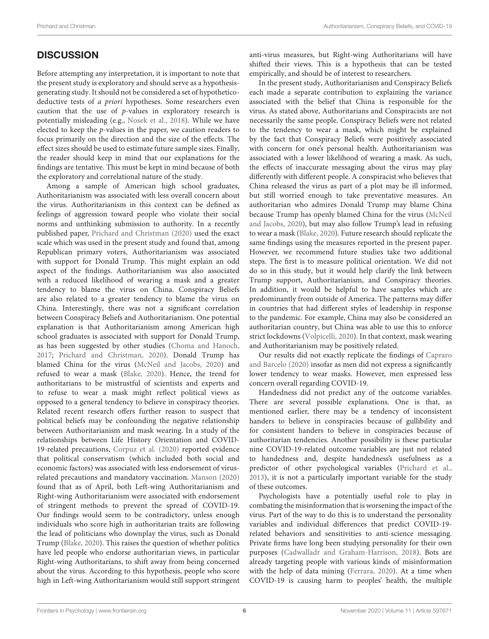## **DISCUSSION**

Before attempting any interpretation, it is important to note that the present study is exploratory and should serve as a hypothesisgenerating study. It should not be considered a set of hypotheticodeductive tests of a priori hypotheses. Some researchers even caution that the use of p-values in exploratory research is potentially misleading (e.g., [Nosek et al.,](#page-6-15) [2018\)](#page-6-15). While we have elected to keep the p-values in the paper, we caution readers to focus primarily on the direction and the size of the effects. The effect sizes should be used to estimate future sample sizes. Finally, the reader should keep in mind that our explanations for the findings are tentative. This must be kept in mind because of both the exploratory and correlational nature of the study.

Among a sample of American high school graduates, Authoritarianism was associated with less overall concern about the virus. Authoritarianism in this context can be defined as feelings of aggression toward people who violate their social norms and unthinking submission to authority. In a recently published paper, [Prichard and Christman](#page-6-16) [\(2020\)](#page-6-16) used the exact scale which was used in the present study and found that, among Republican primary voters, Authoritarianism was associated with support for Donald Trump. This might explain an odd aspect of the findings. Authoritarianism was also associated with a reduced likelihood of wearing a mask and a greater tendency to blame the virus on China. Conspiracy Beliefs are also related to a greater tendency to blame the virus on China. Interestingly, there was not a significant correlation between Conspiracy Beliefs and Authoritarianism. One potential explanation is that Authoritarianism among American high school graduates is associated with support for Donald Trump, as has been suggested by other studies [\(Choma and Hanoch,](#page-6-3) [2017;](#page-6-3) [Prichard and Christman,](#page-6-16) [2020\)](#page-6-16). Donald Trump has blamed China for the virus [\(McNeil and Jacobs,](#page-6-17) [2020\)](#page-6-17) and refused to wear a mask [\(Blake,](#page-6-18) [2020\)](#page-6-18). Hence, the trend for authoritarians to be mistrustful of scientists and experts and to refuse to wear a mask might reflect political views as opposed to a general tendency to believe in conspiracy theories. Related recent research offers further reason to suspect that political beliefs may be confounding the negative relationship between Authoritarianism and mask wearing. In a study of the relationships between Life History Orientation and COVID-19-related precautions, [Corpuz et al.](#page-6-19) [\(2020\)](#page-6-19) reported evidence that political conservatism (which included both social and economic factors) was associated with less endorsement of virusrelated precautions and mandatory vaccination. [Manson](#page-6-20) [\(2020\)](#page-6-20) found that as of April, both Left-wing Authoritarianism and Right-wing Authoritarianism were associated with endorsement of stringent methods to prevent the spread of COVID-19. Our findings would seem to be contradictory, unless enough individuals who score high in authoritarian traits are following the lead of politicians who downplay the virus, such as Donald Trump [\(Blake,](#page-6-18) [2020\)](#page-6-18). This raises the question of whether politics have led people who endorse authoritarian views, in particular Right-wing Authoritarians, to shift away from being concerned about the virus. According to this hypothesis, people who score high in Left-wing Authoritarianism would still support stringent anti-virus measures, but Right-wing Authoritarians will have shifted their views. This is a hypothesis that can be tested empirically, and should be of interest to researchers.

In the present study, Authoritarianism and Conspiracy Beliefs each made a separate contribution to explaining the variance associated with the belief that China is responsible for the virus. As stated above, Authoritarians and Conspiracists are not necessarily the same people. Conspiracy Beliefs were not related to the tendency to wear a mask, which might be explained by the fact that Conspiracy Beliefs were positively associated with concern for one's personal health. Authoritarianism was associated with a lower likelihood of wearing a mask. As such, the effects of inaccurate messaging about the virus may play differently with different people. A conspiracist who believes that China released the virus as part of a plot may be ill informed, but still worried enough to take preventative measures. An authoritarian who admires Donald Trump may blame China because Trump has openly blamed China for the virus [\(McNeil](#page-6-17) [and Jacobs,](#page-6-17) [2020\)](#page-6-17), but may also follow Trump's lead in refusing to wear a mask [\(Blake,](#page-6-18) [2020\)](#page-6-18). Future research should replicate the same findings using the measures reported in the present paper. However, we recommend future studies take two additional steps. The first is to measure political orientation. We did not do so in this study, but it would help clarify the link between Trump support, Authoritarianism, and Conspiracy theories. In addition, it would be helpful to have samples which are predominantly from outside of America. The patterns may differ in countries that had different styles of leadership in response to the pandemic. For example, China may also be considered an authoritarian country, but China was able to use this to enforce strict lockdowns [\(Volpicelli,](#page-6-21) [2020\)](#page-6-21). In that context, mask wearing and Authoritarianism may be positively related.

Our results did not exactly replicate the findings of [Capraro](#page-6-9) [and Barcelo](#page-6-9) [\(2020\)](#page-6-9) insofar as men did not express a significantly lower tendency to wear masks. However, men expressed less concern overall regarding COVID-19.

Handedness did not predict any of the outcome variables. There are several possible explanations. One is that, as mentioned earlier, there may be a tendency of inconsistent handers to believe in conspiracies because of gullibility and for consistent handers to believe in conspiracies because of authoritarian tendencies. Another possibility is these particular nine COVID-19-related outcome variables are just not related to handedness and, despite handedness's usefulness as a predictor of other psychological variables [\(Prichard et al.,](#page-6-22) [2013\)](#page-6-22), it is not a particularly important variable for the study of these outcomes.

Psychologists have a potentially useful role to play in combating the misinformation that is worsening the impact of the virus. Part of the way to do this is to understand the personality variables and individual differences that predict COVID-19 related behaviors and sensitivities to anti-science messaging. Private firms have long been studying personality for their own purposes [\(Cadwalladr and Graham-Harrison,](#page-6-2) [2018\)](#page-6-2). Bots are already targeting people with various kinds of misinformation with the help of data mining [\(Ferrara,](#page-6-1) [2020\)](#page-6-1). At a time when COVID-19 is causing harm to peoples' health, the multiple